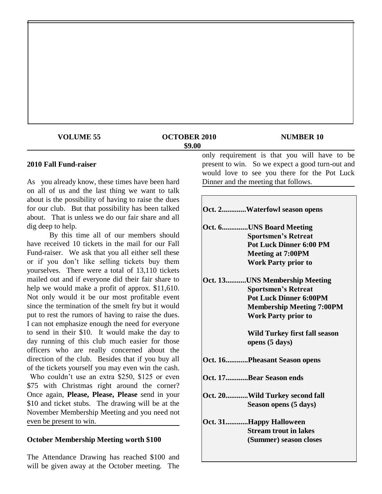| <b>VOLUME 55</b> | <b>OCTOBER 2010</b><br>\$9.00 | <b>NUMBER 10</b>                             |
|------------------|-------------------------------|----------------------------------------------|
|                  |                               | only requirement is that you will have to be |

#### **2010 Fall Fund-raiser**

As you already know, these times have been hard on all of us and the last thing we want to talk about is the possibility of having to raise the dues for our club. But that possibility has been talked about. That is unless we do our fair share and all dig deep to help.

By this time all of our members should have received 10 tickets in the mail for our Fall Fund-raiser. We ask that you all either sell these or if you don"t like selling tickets buy them yourselves. There were a total of 13,110 tickets mailed out and if everyone did their fair share to help we would make a profit of approx. \$11,610. Not only would it be our most profitable event since the termination of the smelt fry but it would put to rest the rumors of having to raise the dues. I can not emphasize enough the need for everyone to send in their \$10. It would make the day to day running of this club much easier for those officers who are really concerned about the direction of the club. Besides that if you buy all of the tickets yourself you may even win the cash. Who couldn't use an extra \$250, \$125 or even \$75 with Christmas right around the corner? Once again, **Please, Please, Please** send in your \$10 and ticket stubs. The drawing will be at the November Membership Meeting and you need not even be present to win.

#### **October Membership Meeting worth \$100**

The Attendance Drawing has reached \$100 and will be given away at the October meeting. The present to win. So we expect a good turn-out and would love to see you there for the Pot Luck Dinner and the meeting that follows.

| Oct. 2Waterfowl season opens     |
|----------------------------------|
| Oct. 6UNS Board Meeting          |
| <b>Sportsmen's Retreat</b>       |
| <b>Pot Luck Dinner 6:00 PM</b>   |
| <b>Meeting at 7:00PM</b>         |
| <b>Work Party prior to</b>       |
| Oct. 13UNS Membership Meeting    |
| <b>Sportsmen's Retreat</b>       |
| <b>Pot Luck Dinner 6:00PM</b>    |
| <b>Membership Meeting 7:00PM</b> |
| <b>Work Party prior to</b>       |
| Wild Turkey first fall season    |
| opens (5 days)                   |
| Oct. 16Pheasant Season opens     |
| Oct. 17Bear Season ends          |
| Oct. 20Wild Turkey second fall   |
| Season opens (5 days)            |
| Oct. 31Happy Halloween           |
| <b>Stream trout in lakes</b>     |
| (Summer) season closes           |
|                                  |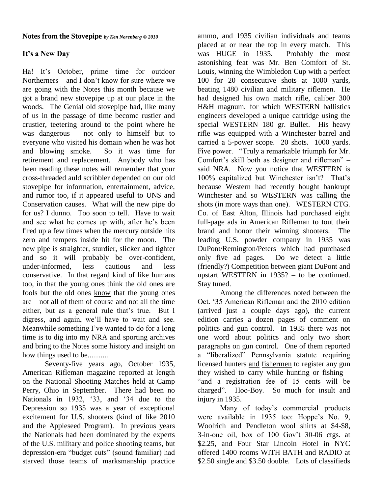### **Notes from the Stovepipe** *by Ken Norenberg © 2010*

## **It's a New Day**

Ha! It's October, prime time for outdoor Northerners – and I don"t know for sure where we are going with the Notes this month because we got a brand new stovepipe up at our place in the woods. The Genial old stovepipe had, like many of us in the passage of time become rustier and crustier, teetering around to the point where he was dangerous – not only to himself but to everyone who visited his domain when he was hot and blowing smoke. So it was time for retirement and replacement. Anybody who has been reading these notes will remember that your cross-threaded auld scribbler depended on our old stovepipe for information, entertainment, advice, and rumor too, if it appeared useful to UNS and Conservation causes. What will the new pipe do for us? I dunno. Too soon to tell. Have to wait and see what he comes up with, after he"s been fired up a few times when the mercury outside hits zero and tempers inside hit for the moon. The new pipe is straighter, sturdier, slicker and tighter and so it will probably be over-confident, under-informed, less cautious and less conservative. In that regard kind of like humans too, in that the young ones think the old ones are fools but the old ones know that the young ones are – not all of them of course and not all the time either, but as a general rule that's true. But I digress, and again, we"ll have to wait and see. Meanwhile something I've wanted to do for a long time is to dig into my NRA and sporting archives and bring to the Notes some history and insight on how things used to be...........

Seventy-five years ago, October 1935, American Rifleman magazine reported at length on the National Shooting Matches held at Camp Perry, Ohio in September. There had been no Nationals in 1932, '33, and '34 due to the Depression so 1935 was a year of exceptional excitement for U.S. shooters (kind of like 2010 and the Appleseed Program). In previous years the Nationals had been dominated by the experts of the U.S. military and police shooting teams, but depression-era "budget cuts" (sound familiar) had starved those teams of marksmanship practice ammo, and 1935 civilian individuals and teams placed at or near the top in every match. This was HUGE in 1935. Probably the most astonishing feat was Mr. Ben Comfort of St. Louis, winning the Wimbledon Cup with a perfect 100 for 20 consecutive shots at 1000 yards, beating 1480 civilian and military riflemen. He had designed his own match rifle, caliber 300 H&H magnum, for which WESTERN ballistics engineers developed a unique cartridge using the special WESTERN 180 gr. Bullet. His heavy rifle was equipped with a Winchester barrel and carried a 5-power scope. 20 shots. 1000 yards. Five power. "Truly a remarkable triumph for Mr. Comfort's skill both as designer and rifleman" – said NRA. Now you notice that WESTERN is 100% capitalized but Winchester isn't? That's because Western had recently bought bankrupt Winchester and so WESTERN was calling the shots (in more ways than one). WESTERN CTG. Co. of East Alton, Illinois had purchased eight full-page ads in American Rifleman to tout their brand and honor their winning shooters. The leading U.S. powder company in 1935 was DuPont/Remington/Peters which had purchased only five ad pages. Do we detect a little (friendly?) Competition between giant DuPont and upstart WESTERN in 1935? – to be continued. Stay tuned.

Among the differences noted between the Oct. "35 American Rifleman and the 2010 edition (arrived just a couple days ago), the current edition carries a dozen pages of comment on politics and gun control. In 1935 there was not one word about politics and only two short paragraphs on gun control. One of them reported a "liberalized" Pennsylvania statute requiring licensed hunters and fishermen to register any gun they wished to carry while hunting or fishing – "and a registration fee of 15 cents will be charged". Hoo-Boy. So much for insult and injury in 1935.

Many of today"s commercial products were available in 1935 too: Hoppe's No. 9, Woolrich and Pendleton wool shirts at \$4-\$8, 3-in-one oil, box of 100 Gov"t 30-06 ctgs. at \$2.25, and Four Star Lincoln Hotel in NYC offered 1400 rooms WITH BATH and RADIO at \$2.50 single and \$3.50 double. Lots of classifieds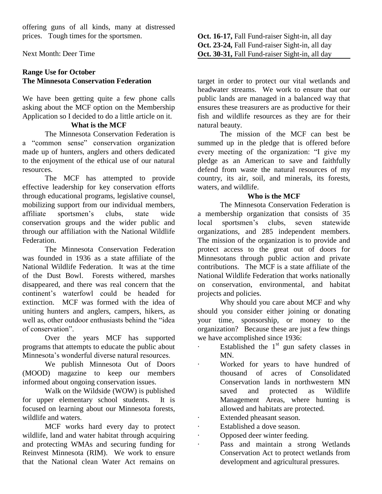offering guns of all kinds, many at distressed prices. Tough times for the sportsmen.

Next Month: Deer Time

## **Range Use for October The Minnesota Conservation Federation**

We have been getting quite a few phone calls asking about the MCF option on the Membership Application so I decided to do a little article on it.

## **What is the MCF**

The Minnesota Conservation Federation is a "common sense" conservation organization made up of hunters, anglers and others dedicated to the enjoyment of the ethical use of our natural resources.

The MCF has attempted to provide effective leadership for key conservation efforts through educational programs, legislative counsel, mobilizing support from our individual members, affiliate sportsmen"s clubs, state wide conservation groups and the wider public and through our affiliation with the National Wildlife Federation.

The Minnesota Conservation Federation was founded in 1936 as a state affiliate of the National Wildlife Federation. It was at the time of the Dust Bowl. Forests withered, marshes disappeared, and there was real concern that the continent"s waterfowl could be headed for extinction. MCF was formed with the idea of uniting hunters and anglers, campers, hikers, as well as, other outdoor enthusiasts behind the "idea of conservation".

Over the years MCF has supported programs that attempts to educate the public about Minnesota"s wonderful diverse natural resources.

We publish Minnesota Out of Doors (MOOD) magazine to keep our members informed about ongoing conservation issues.

Walk on the Wildside (WOW) is published for upper elementary school students. It is focused on learning about our Minnesota forests, wildlife and waters.

MCF works hard every day to protect wildlife, land and water habitat through acquiring and protecting WMAs and securing funding for Reinvest Minnesota (RIM). We work to ensure that the National clean Water Act remains on **Oct. 16-17,** Fall Fund-raiser Sight-in, all day **Oct. 23-24,** Fall Fund-raiser Sight-in, all day **Oct. 30-31,** Fall Fund-raiser Sight-in, all day

target in order to protect our vital wetlands and headwater streams. We work to ensure that our public lands are managed in a balanced way that ensures these treasurers are as productive for their fish and wildlife resources as they are for their natural beauty.

The mission of the MCF can best be summed up in the pledge that is offered before every meeting of the organization: "I give my pledge as an American to save and faithfully defend from waste the natural resources of my country, its air, soil, and minerals, its forests, waters, and wildlife.

### **Who is the MCF**

The Minnesota Conservation Federation is a membership organization that consists of 35 local sportsmen"s clubs, seven statewide organizations, and 285 independent members. The mission of the organization is to provide and protect access to the great out of doors for Minnesotans through public action and private contributions. The MCF is a state affiliate of the National Wildlife Federation that works nationally on conservation, environmental, and habitat projects and policies.

Why should you care about MCF and why should you consider either joining or donating your time, sponsorship, or money to the organization? Because these are just a few things we have accomplished since 1936:

- $\cdot$  Established the 1<sup>st</sup> gun safety classes in MN.
- · Worked for years to have hundred of thousand of acres of Consolidated Conservation lands in northwestern MN saved and protected as Wildlife Management Areas, where hunting is allowed and habitats are protected.
- Extended pheasant season.
- · Established a dove season.
- · Opposed deer winter feeding.
- · Pass and maintain a strong Wetlands Conservation Act to protect wetlands from development and agricultural pressures.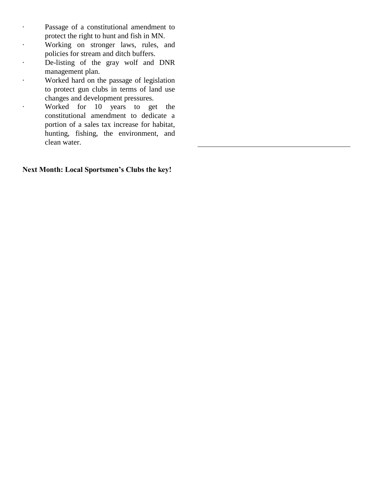- · Passage of a constitutional amendment to protect the right to hunt and fish in MN.
- · Working on stronger laws, rules, and policies for stream and ditch buffers.
- · De-listing of the gray wolf and DNR management plan.
- · Worked hard on the passage of legislation to protect gun clubs in terms of land use changes and development pressures.
- · Worked for 10 years to get the constitutional amendment to dedicate a portion of a sales tax increase for habitat, hunting, fishing, the environment, and clean water.

**Next Month: Local Sportsmen's Clubs the key!**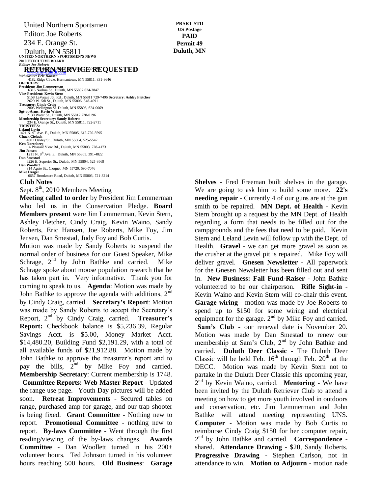United Northern Sportsmen Editor: Joe Roberts

234 E. Orange St.

Duluth, MN 55811<br>
UNITED NORTHERN SPORTSMEN'S NEWS **2010 EXECUTIVE BOARD**<br>*Editor: Loe Roberts* 

# *Editor: Joe Roberts*<br> **RETURN SERVICE REQUESTED**

**Webmaster: Eric Hansen**<br> *Webmaster: Eric Hansen*<br>
4182 Ridge Circle, Hermantown, MN 55811, 831-8646<br> **OFFICERS:** President: Jim Lemmerman<br>6316 Nashua St., Duluth, MN 55807 624-3847<br>Vice-President: Kevin Stern<br>5158 LaVaque Jot. Rd., Duluth, MN 55811 729-7496 **Secretary: Ashley Fletcher**<br>2629 W. 5th St., Duluth, MN 55806, 348-4091 **Treasurer: Cindy Craig** 2805 Wellington St. Duluth, MN 55806, 624-0069 **Sgt-at-Arms: Kevin Waino** 2130 Water St., Duluth, MN 55812 728-0196 **Membership Secretary: Sandy Roberts** 234 E. Orange St., Duluth, MN 55811, 722-2711 **TRUSTEES: Leland Levin<br>1421 N. 9<sup>th</sup> Ave. E., Duluth, MN 55805, 612-720-5595<br><b>Chuck Cieluch**<br>4801 Oakley St., Duluth, MN 55804, 525-5547 **Ken Norenberg** 114 Pleasant View Rd., Duluth, MN 55803, 728-4173 **Jim Jensen**<br>
1211 N. 8<sup>th</sup> Ave. E., Duluth, MN 55805, 391-4822<br> **Dan Smestad**  6226 E. Superior St., Duluth, MN 55804, 525-3669 **Dan Woollett** 314 Agete St., Cloquet, MN 55720, 590-7076 Mike Drager<br>
6657 Brookmere Road, Duluth, MN 55803, 721-3214<br> **CU--L NL0400** 

#### **Club Notes**

Sept. 8<sup>th</sup>, 2010 Members Meeting

Meeting called to order by President Jim Lemmerman who led us in the Conservation Pledge. Board Members present were Jim Lemmerman, Kevin Stern, Ashley Fletcher, Cindy Craig, Kevin Waino, Sandy Roberts, Eric Hansen, Joe Roberts, Mike Foy, Jim Jensen, Dan Smestad, Judy Foy and Bob Curtis.

Motion was made by Sandy Roberts to suspend the normal order of business for our Guest Speaker, Mike Schrage,  $2<sup>nd</sup>$  by John Bathke and carried. Mike Schrage spoke about moose population research that he has taken part in. Very informative. Thank you for coming to speak to us. **Agenda**: Motion was made by John Bathke to approve the agenda with additions,  $2<sup>nd</sup>$ by Cindy Craig, carried. **Secretary's Report**: Motion was made by Sandy Roberts to accept the Secretary's Report, 2nd by Cindy Craig, carried. **Treasurer's Report:** Checkbook balance is \$5,236.39, Regular Savings Acct. is \$5.00, Money Market Acct. \$14,480.20, Building Fund \$2,191.29, with a total of all available funds of \$21,912.88. Motion made by John Bathke to approve the treasurer"s report and to pay the bills,  $2<sup>nd</sup>$  by Mike Foy and carried. **Membership Secretary**: Current membership is 1748. **Committee Reports: Web Master Report** - Updated the range use page. Youth Day pictures will be added soon. **Retreat Improvements** - Secured tables on range, purchased amp for garage, and our trap shooter is being fixed. **Grant Committee** - Nothing new to report. **Promotional Committee** - nothing new to report. **By-laws Committee** - Went through the first reading/viewing of the by-laws changes. **Awards Committee** - Dan Woollett turned in his 200+ volunteer hours. Ted Johnson turned in his volunteer hours reaching 500 hours. **Old Business**: **Garage** 

**Shelves** - Fred Freeman built shelves in the garage. We are going to ask him to build some more. **22's needing repair** - Currently 4 of our guns are at the gun smith to be repaired. **MN Dept. of Health** - Kevin Stern brought up a request by the MN Dept. of Health regarding a form that needs to be filled out for the campgrounds and the fees that need to be paid. Kevin Stern and Leland Levin will follow up with the Dept. of Health. **Gravel** - we can get more gravel as soon as the crusher at the gravel pit is repaired. Mike Foy will deliver gravel. **Gnesen Newsletter** - All paperwork for the Gnesen Newsletter has been filled out and sent in. **New Business: Fall Fund-Raiser -** John Bathke volunteered to be our chairperson. **Rifle Sight-in** - Kevin Waino and Kevin Stern will co-chair this event. **Garage wiring** - motion was made by Joe Roberts to spend up to \$150 for some wiring and electrical equipment for the garage.  $2<sup>nd</sup>$  by Mike Foy and carried. **Sam's Club** - our renewal date is November 20. Motion was made by Dan Smestad to renew our membership at Sam's Club, 2<sup>nd</sup> by John Bathke and carried. **Duluth Deer Classic** - The Duluth Deer Classic will be held Feb.  $16<sup>th</sup>$  through Feb.  $20<sup>th</sup>$  at the DECC. Motion was made by Kevin Stern not to partake in the Duluth Deer Classic this upcoming year, 2<sup>nd</sup> by Kevin Waino, carried. Mentoring - We have been invited by the Duluth Retriever Club to attend a meeting on how to get more youth involved in outdoors and conservation, etc. Jim Lemmerman and John Bathke will attend meeting representing UNS. **Computer** - Motion was made by Bob Curtis to reimburse Cindy Craig \$150 for her computer repair, 2 nd by John Bathke and carried. **Correspondence** shared. **Attendance Drawing** - \$20, Sandy Roberts. **Progressive Drawing** - Stephen Carlson, not in

attendance to win. **Motion to Adjourn** - motion nade

**PRSRT STD US Postage PAID Permit 49 Duluth, MN**